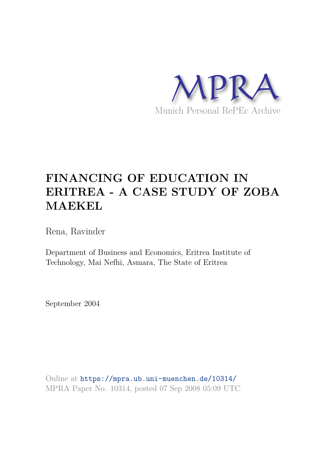

# **FINANCING OF EDUCATION IN ERITREA - A CASE STUDY OF ZOBA MAEKEL**

Rena, Ravinder

Department of Business and Economics, Eritrea Institute of Technology, Mai Nefhi, Asmara, The State of Eritrea

September 2004

Online at https://mpra.ub.uni-muenchen.de/10314/ MPRA Paper No. 10314, posted 07 Sep 2008 05:09 UTC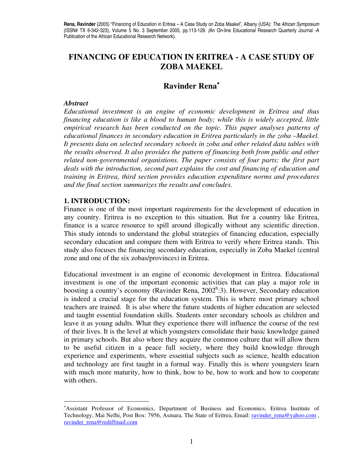# **FINANCING OF EDUCATION IN ERITREA - A CASE STUDY OF ZOBA MAEKEL**

# **Ravinder Rena**<sup>∗</sup>

#### *Abstract*

 $\overline{a}$ 

*Educational investment is an engine of economic development in Eritrea and thus financing education is like a blood to human body; while this is widely accepted, little empirical research has been conducted on the topic. This paper analyses patterns of educational finances in secondary education in Eritrea particularly in the zoba –Maekel. It presents data on selected secondary schools in zoba and other related data tables with the results observed. It also provides the pattern of financing both from public and other related non-governmental organistions. The paper consists of four parts; the first part deals with the introduction, second part explains the cost and financing of education and training in Eritrea, third section provides education expenditure norms and procedures and the final section summarizes the results and concludes.* 

## **1. INTRODUCTION:**

Finance is one of the most important requirements for the development of education in any country. Eritrea is no exception to this situation. But for a country like Eritrea, finance is a scarce resource to spill around illogically without any scientific direction. This study intends to understand the global strategies of financing education, especially secondary education and compare them with Eritrea to verify where Eritrea stands. This study also focuses the financing secondary education, especially in Zoba Maekel (central zone and one of the six zobas/provinces) in Eritrea.

Educational investment is an engine of economic development in Eritrea. Educational investment is one of the important economic activities that can play a major role in boosting a country's economy (Ravinder Rena, 2002<sup>b</sup>:3). However, Secondary education is indeed a crucial stage for the education system. This is where most primary school teachers are trained. It is also where the future students of higher education are selected and taught essential foundation skills. Students enter secondary schools as children and leave it as young adults. What they experience there will influence the course of the rest of their lives. It is the level at which youngsters consolidate their basic knowledge gained in primary schools. But also where they acquire the common culture that will allow them to be useful citizen in a peace full society, where they build knowledge through experience and experiments, where essential subjects such as science, health education and technology are first taught in a formal way. Finally this is where youngsters learn with much more maturity, how to think, how to be, how to work and how to cooperate with others.

<sup>∗</sup>Assistant Professor of Economics, Department of Business and Economics, Eritrea Institute of Technology, Mai Nefhi, Post Box: 7956, Asmara, The State of Eritrea, Email: ravinder\_rena@yahoo.com , ravinder\_rena@rediffmail.com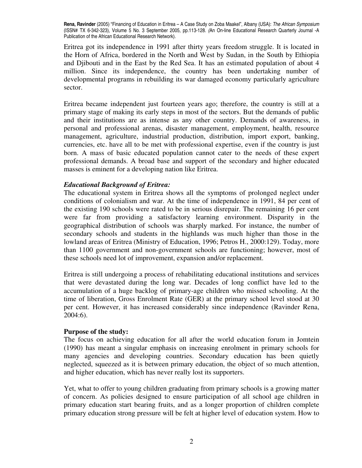Eritrea got its independence in 1991 after thirty years freedom struggle. It is located in the Horn of Africa, bordered in the North and West by Sudan, in the South by Ethiopia and Djibouti and in the East by the Red Sea. It has an estimated population of about 4 million. Since its independence, the country has been undertaking number of developmental programs in rebuilding its war damaged economy particularly agriculture sector.

Eritrea became independent just fourteen years ago; therefore, the country is still at a primary stage of making its early steps in most of the sectors. But the demands of public and their institutions are as intense as any other country. Demands of awareness, in personal and professional arenas, disaster management, employment, health, resource management, agriculture, industrial production, distribution, import export, banking, currencies, etc. have all to be met with professional expertise, even if the country is just born. A mass of basic educated population cannot cater to the needs of these expert professional demands. A broad base and support of the secondary and higher educated masses is eminent for a developing nation like Eritrea.

## *Educational Background of Eritrea:*

The educational system in Eritrea shows all the symptoms of prolonged neglect under conditions of colonialism and war. At the time of independence in 1991, 84 per cent of the existing 190 schools were rated to be in serious disrepair. The remaining 16 per cent were far from providing a satisfactory learning environment. Disparity in the geographical distribution of schools was sharply marked. For instance, the number of secondary schools and students in the highlands was much higher than those in the lowland areas of Eritrea (Ministry of Education, 1996; Petros H., 2000:129). Today, more than 1100 government and non-government schools are functioning; however, most of these schools need lot of improvement, expansion and/or replacement.

Eritrea is still undergoing a process of rehabilitating educational institutions and services that were devastated during the long war. Decades of long conflict have led to the accumulation of a huge backlog of primary-age children who missed schooling. At the time of liberation, Gross Enrolment Rate (GER) at the primary school level stood at 30 per cent. However, it has increased considerably since independence (Ravinder Rena, 2004:6).

#### **Purpose of the study:**

The focus on achieving education for all after the world education forum in Jomtein (1990) has meant a singular emphasis on increasing enrolment in primary schools for many agencies and developing countries. Secondary education has been quietly neglected, squeezed as it is between primary education, the object of so much attention, and higher education, which has never really lost its supporters.

Yet, what to offer to young children graduating from primary schools is a growing matter of concern. As policies designed to ensure participation of all school age children in primary education start bearing fruits, and as a longer proportion of children complete primary education strong pressure will be felt at higher level of education system. How to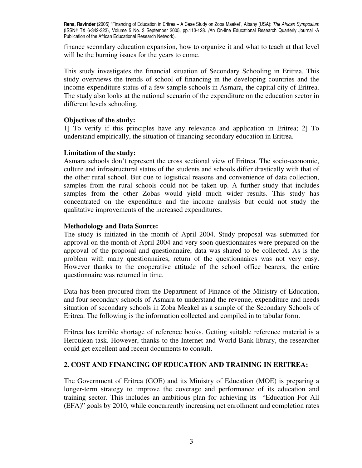finance secondary education expansion, how to organize it and what to teach at that level will be the burning issues for the years to come.

This study investigates the financial situation of Secondary Schooling in Eritrea. This study overviews the trends of school of financing in the developing countries and the income-expenditure status of a few sample schools in Asmara, the capital city of Eritrea. The study also looks at the national scenario of the expenditure on the education sector in different levels schooling.

## **Objectives of the study:**

1] To verify if this principles have any relevance and application in Eritrea; 2] To understand empirically, the situation of financing secondary education in Eritrea.

## **Limitation of the study:**

Asmara schools don't represent the cross sectional view of Eritrea. The socio-economic, culture and infrastructural status of the students and schools differ drastically with that of the other rural school. But due to logistical reasons and convenience of data collection, samples from the rural schools could not be taken up. A further study that includes samples from the other Zobas would yield much wider results. This study has concentrated on the expenditure and the income analysis but could not study the qualitative improvements of the increased expenditures.

## **Methodology and Data Source:**

The study is initiated in the month of April 2004. Study proposal was submitted for approval on the month of April 2004 and very soon questionnaires were prepared on the approval of the proposal and questionnaire, data was shared to be collected. As is the problem with many questionnaires, return of the questionnaires was not very easy. However thanks to the cooperative attitude of the school office bearers, the entire questionnaire was returned in time.

Data has been procured from the Department of Finance of the Ministry of Education, and four secondary schools of Asmara to understand the revenue, expenditure and needs situation of secondary schools in Zoba Meakel as a sample of the Secondary Schools of Eritrea. The following is the information collected and compiled in to tabular form.

Eritrea has terrible shortage of reference books. Getting suitable reference material is a Herculean task. However, thanks to the Internet and World Bank library, the researcher could get excellent and recent documents to consult.

## **2. COST AND FINANCING OF EDUCATION AND TRAINING IN ERITREA:**

The Government of Eritrea (GOE) and its Ministry of Education (MOE) is preparing a longer-term strategy to improve the coverage and performance of its education and training sector. This includes an ambitious plan for achieving its "Education For All (EFA)" goals by 2010, while concurrently increasing net enrollment and completion rates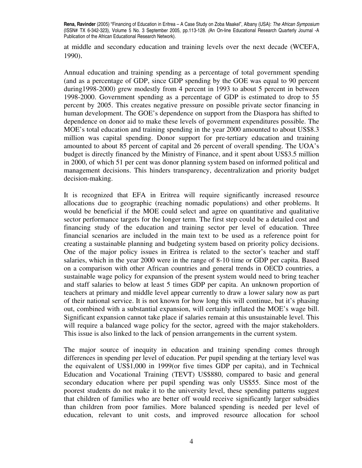at middle and secondary education and training levels over the next decade (WCEFA, 1990).

Annual education and training spending as a percentage of total government spending (and as a percentage of GDP, since GDP spending by the GOE was equal to 90 percent during1998-2000) grew modestly from 4 percent in 1993 to about 5 percent in between 1998-2000. Government spending as a percentage of GDP is estimated to drop to 55 percent by 2005. This creates negative pressure on possible private sector financing in human development. The GOE's dependence on support from the Diaspora has shifted to dependence on donor aid to make these levels of government expenditures possible. The MOE's total education and training spending in the year 2000 amounted to about US\$8.3 million was capital spending. Donor support for pre-tertiary education and training amounted to about 85 percent of capital and 26 percent of overall spending. The UOA's budget is directly financed by the Ministry of Finance, and it spent about US\$3.5 million in 2000, of which 51 per cent was donor planning system based on informed political and management decisions. This hinders transparency, decentralization and priority budget decision-making.

It is recognized that EFA in Eritrea will require significantly increased resource allocations due to geographic (reaching nomadic populations) and other problems. It would be beneficial if the MOE could select and agree on quantitative and qualitative sector performance targets for the longer term. The first step could be a detailed cost and financing study of the education and training sector per level of education. Three financial scenarios are included in the main text to be used as a reference point for creating a sustainable planning and budgeting system based on priority policy decisions. One of the major policy issues in Eritrea is related to the sector's teacher and staff salaries, which in the year 2000 were in the range of 8-10 time or GDP per capita. Based on a comparison with other African countries and general trends in OECD countries, a sustainable wage policy for expansion of the present system would need to bring teacher and staff salaries to below at least 5 times GDP per capita. An unknown proportion of teachers at primary and middle level appear currently to draw a lower salary now as part of their national service. It is not known for how long this will continue, but it's phasing out, combined with a substantial expansion, will certainly inflated the MOE's wage bill. Significant expansion cannot take place if salaries remain at this unsustainable level. This will require a balanced wage policy for the sector, agreed with the major stakeholders. This issue is also linked to the lack of pension arrangements in the current system.

The major source of inequity in education and training spending comes through differences in spending per level of education. Per pupil spending at the tertiary level was the equivalent of US\$1,000 in 1999(or five times GDP per capita), and in Technical Education and Vocational Training (TEVT) US\$880, compared to basic and general secondary education where per pupil spending was only US\$55. Since most of the poorest students do not make it to the university level, these spending patterns suggest that children of families who are better off would receive significantly larger subsidies than children from poor families. More balanced spending is needed per level of education, relevant to unit costs, and improved resource allocation for school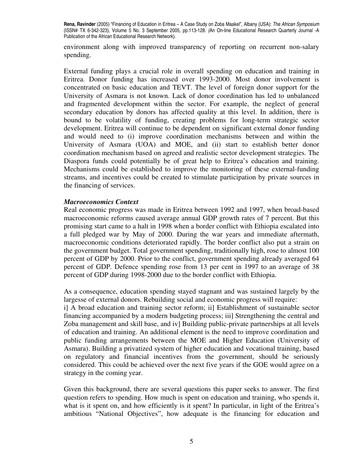environment along with improved transparency of reporting on recurrent non-salary spending.

External funding plays a crucial role in overall spending on education and training in Eritrea. Donor funding has increased over 1993-2000. Most donor involvement is concentrated on basic education and TEVT. The level of foreign donor support for the University of Asmara is not known. Lack of donor coordination has led to unbalanced and fragmented development within the sector. For example, the neglect of general secondary education by donors has affected quality at this level. In addition, there is bound to be volatility of funding, creating problems for long-term strategic sector development. Eritrea will continue to be dependent on significant external donor funding and would need to (i) improve coordination mechanisms between and within the University of Asmara (UOA) and MOE, and (ii) start to establish better donor coordination mechanism based on agreed and realistic sector development strategies. The Diaspora funds could potentially be of great help to Eritrea's education and training. Mechanisms could be established to improve the monitoring of these external-funding streams, and incentives could be created to stimulate participation by private sources in the financing of services.

## *Macroeconomics Context*

Real economic progress was made in Eritrea between 1992 and 1997, when broad-based macroeconomic reforms caused average annual GDP growth rates of 7 percent. But this promising start came to a halt in 1998 when a border conflict with Ethiopia escalated into a full pledged war by May of 2000. During the war years and immediate aftermath, macroeconomic conditions deteriorated rapidly. The border conflict also put a strain on the government budget. Total government spending, traditionally high, rose to almost 100 percent of GDP by 2000. Prior to the conflict, government spending already averaged 64 percent of GDP. Defence spending rose from 13 per cent in 1997 to an average of 38 percent of GDP during 1998-2000 due to the border conflict with Ethiopia.

As a consequence, education spending stayed stagnant and was sustained largely by the largesse of external donors. Rebuilding social and economic progress will require:

i] A broad education and training sector reform; ii] Establishment of sustainable sector financing accompanied by a modern budgeting process; iii] Strengthening the central and Zoba management and skill base, and iv] Building public-private partnerships at all levels of education and training. An additional element is the need to improve coordination and public funding arrangements between the MOE and Higher Education (University of Asmara). Building a privatized system of higher education and vocational training, based on regulatory and financial incentives from the government, should be seriously considered. This could be achieved over the next five years if the GOE would agree on a strategy in the coming year.

Given this background, there are several questions this paper seeks to answer. The first question refers to spending. How much is spent on education and training, who spends it, what is it spent on, and how efficiently is it spent? In particular, in light of the Eritrea's ambitious "National Objectives", how adequate is the financing for education and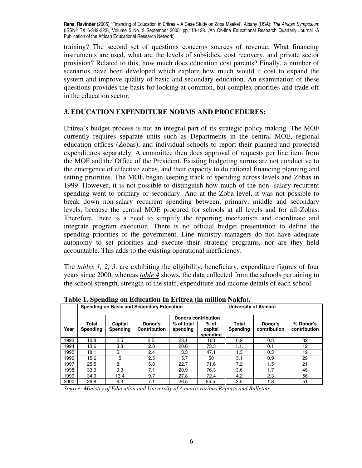training? The second set of questions concerns sources of revenue. What financing instruments are used, what are the levels of subsidies, cost recovery, and private sector provision? Related to this, how much does education cost parents? Finally, a number of scenarios have been developed which explore how much would it cost to expand the system and improve quality of basic and secondary education. An examination of these questions provides the basis for looking at common, but complex priorities and trade-off in the education sector.

## **3. EDUCATION EXPENDITURE NORMS AND PROCEDURES:**

Eritrea's budget process is not an integral part of its strategic policy making. The MOF currently requires separate units such as Departments in the central MOE, regional education offices (Zobas), and individual schools to report their planned and projected expenditures separately. A committee then does approval of requests per line item from the MOF and the Office of the President. Existing budgeting norms are not conductive to the emergence of effective zobas, and their capacity to do rational financing planning and setting priorities. The MOE began keeping track of spending across levels and Zobas in 1999. However, it is not possible to distinguish how much of the non -salary recurrent spending went to primary or secondary. And at the Zoba level, it was not possible to break down non-salary recurrent spending between, primary, middle and secondary levels, because the central MOE procured for schools at all levels and for all Zobas. Therefore, there is a need to simplify the reporting mechanism and coordinate and integrate program execution. There is no official budget presentation to define the spending priorities of the government. Line ministry managers do not have adequate autonomy to set priorities and execute their strategic programs, nor are they held accountable. This adds to the existing operational inefficiency.

The *tables 1, 2, 3,* are exhibiting the eligibility, beneficiary, expenditure figures of four years since 2000, whereas *table 4* shows, the data collected from the schools pertaining to the school strength, strength of the staff, expenditure and income details of each school.

|      |                   | . .                 | Spending on Basic and Secondary Education | <b>University of Asmara</b> |                               |                   |                         |                           |
|------|-------------------|---------------------|-------------------------------------------|-----------------------------|-------------------------------|-------------------|-------------------------|---------------------------|
|      |                   |                     |                                           |                             | <b>Donors contribution</b>    |                   |                         |                           |
| Year | Total<br>Spending | Capital<br>Spending | Donor's<br><b>Contribution</b>            | % of total<br>spending      | $%$ of<br>capital<br>spending | Total<br>Spending | Donor's<br>contribution | % Donor's<br>contribution |
| 1993 | 10.8              | 2.5                 | 2.5.                                      | 23.1                        | 100                           | 0.9               | 0.3                     | 32                        |
| 1994 | 13.6              | 3.8                 | 2.8                                       | 20.6                        | 73.3                          | 1.1.              | 0.1                     | 12                        |
| 1995 | 18.1              | 5.1                 | 2.4                                       | 13.3                        | 47.1                          | 1.3               | 0.3                     | 19                        |
| 1996 | 15.6              | 5                   | 2.5                                       | 15.7                        | 50                            | 3.1               | 0.9                     | 29                        |
| 1997 | 25.5              | 8.1                 | 5.8                                       | 22.7                        | 71.6                          | 7.2               | 1.5                     | 21                        |
| 1998 | 33.9              | 9.3                 | 7.1                                       | 20.9                        | 76.3                          | 3.6               | 1.7                     | 46                        |
| 1999 | 34.9              | 13.4                | 9.7                                       | 27.8                        | 72.4                          | 4.2               | 2.3                     | 56                        |
| 2000 | 26.8              | 8.3                 | 7.1                                       | 26.5                        | 85.5.                         | 3.5               | 1.8                     | 51                        |

**Table 1. Spending on Education In Eritrea (in million Nakfa).** 

*Source: Ministry of Education and University of Asmara various Reports and Bulletins.*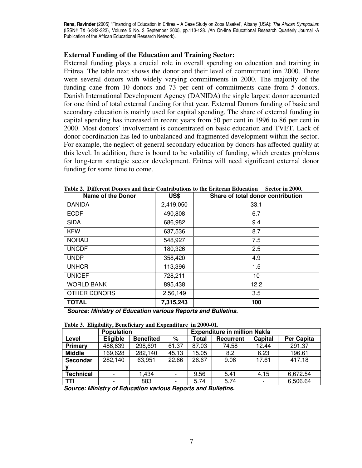#### **External Funding of the Education and Training Sector:**

External funding plays a crucial role in overall spending on education and training in Eritrea. The table next shows the donor and their level of commitment inn 2000. There were several donors with widely varying commitments in 2000. The majority of the funding cane from 10 donors and 73 per cent of commitments cane from 5 donors. Danish International Development Agency (DANIDA) the single largest donor accounted for one third of total external funding for that year. External Donors funding of basic and secondary education is mainly used for capital spending. The share of external funding in capital spending has increased in recent years from 50 per cent in 1996 to 86 per cent in 2000. Most donors' involvement is concentrated on basic education and TVET. Lack of donor coordination has led to unbalanced and fragmented development within the sector. For example, the neglect of general secondary education by donors has affected quality at this level. In addition, there is bound to be volatility of funding, which creates problems for long-term strategic sector development. Eritrea will need significant external donor funding for some time to come.

| <b>Name of the Donor</b> | US\$      | Share of total donor contribution |
|--------------------------|-----------|-----------------------------------|
| <b>DANIDA</b>            | 2,419,050 | 33.1                              |
| <b>ECDF</b>              | 490,808   | 6.7                               |
| <b>SIDA</b>              | 686,982   | 9.4                               |
| <b>KFW</b>               | 637,536   | 8.7                               |
| <b>NORAD</b>             | 548,927   | 7.5                               |
| <b>UNCDF</b>             | 180,326   | 2.5                               |
| <b>UNDP</b>              | 358,420   | 4.9                               |
| <b>UNHCR</b>             | 113,396   | 1.5                               |
| <b>UNICEF</b>            | 728,211   | 10                                |
| <b>WORLD BANK</b>        | 895,438   | 12.2                              |
| OTHER DONORS             | 2,56,149  | 3.5                               |
| <b>TOTAL</b>             | 7,315,243 | 100                               |

**Table 2. Different Donors and their Contributions to the Eritrean Education Sector in 2000.** 

 *Source: Ministry of Education various Reports and Bulletins.* 

|  |  | Table 3. Eligibility, Beneficiary and Expenditure in 2000-01. |  |  |  |
|--|--|---------------------------------------------------------------|--|--|--|
|--|--|---------------------------------------------------------------|--|--|--|

|                  | <b>Population</b> |                  |       | <b>Expenditure in million Nakfa</b> |                  |         |            |  |
|------------------|-------------------|------------------|-------|-------------------------------------|------------------|---------|------------|--|
| Level            | <b>Eligible</b>   | <b>Benefited</b> | %     | Total                               | <b>Recurrent</b> | Capital | Per Capita |  |
| Primary          | 486,639           | 298,691          | 61.37 | 87.03                               | 74.58            | 12.44   | 291.37     |  |
| <b>Middle</b>    | 169,628           | 282,140          | 45.13 | 15.05                               | 8.2              | 6.23    | 196.61     |  |
| <b>Secondar</b>  | 282,140           | 63,951           | 22.66 | 26.67                               | 9.06             | 17.61   | 417.18     |  |
|                  |                   |                  |       |                                     |                  |         |            |  |
| <b>Technical</b> |                   | 1.434            |       | 9.56                                | 5.41             | 4.15    | 6,672.54   |  |
| TTI              |                   | 883              |       | 5.74                                | 5.74             |         | 6,506.64   |  |

*Source: Ministry of Education various Reports and Bulletins.*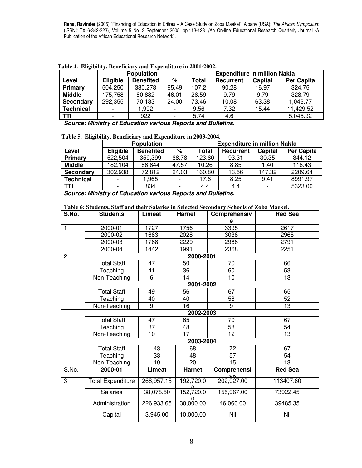|               |                          | <b>Population</b> |       | <b>Expenditure in million Nakfa</b> |                  |         |                   |  |  |
|---------------|--------------------------|-------------------|-------|-------------------------------------|------------------|---------|-------------------|--|--|
| Level         | <b>Eligible</b>          | <b>Benefited</b>  | %     | Total                               | <b>Recurrent</b> | Capital | <b>Per Capita</b> |  |  |
| Primary       | 504,250                  | 330,278           | 65.49 | 107.2                               | 90.28            | 16.97   | 324.75            |  |  |
| <b>Middle</b> | 175,758                  | 80,882            | 46.01 | 26.59                               | 9.79             | 9.79    | 328.79            |  |  |
| Secondary     | 292,355                  | 70,183            | 24.00 | 73.46                               | 10.08            | 63.38   | 1,046.77          |  |  |
| Technical     | $\overline{\phantom{0}}$ | 1.992             |       | 9.56                                | 7.32             | 15.44   | 11,429.52         |  |  |
| TTI           |                          | 922               |       | 5.74                                | 4.6              |         | 5,045.92          |  |  |

**Table 4. Eligibility, Beneficiary and Expenditure in 2001-2002.** 

*Source: Ministry of Education various Reports and Bulletins.* 

#### **Table 5. Eligibility, Beneficiary and Expenditure in 2003-2004.**

|                  |                          | <b>Population</b> |       | <b>Expenditure in million Nakfa</b> |           |         |                   |  |  |
|------------------|--------------------------|-------------------|-------|-------------------------------------|-----------|---------|-------------------|--|--|
| Level            | <b>Eligible</b>          | <b>Benefited</b>  | %     | Total                               | Recurrent | Capital | <b>Per Capita</b> |  |  |
| Primary          | 522,504                  | 359,399           | 68.78 | 123.60                              | 93.31     | 30.35   | 344.12            |  |  |
| <b>Middle</b>    | 182,104                  | 86,644            | 47.57 | 10.26                               | 8.85      | 1.40    | 118.43            |  |  |
| Secondary        | 302,938                  | 72,812            | 24.03 | 160.80                              | 13.56     | 147.32  | 2209.64           |  |  |
| <b>Technical</b> | $\overline{\phantom{a}}$ | ,965              |       | 17.6                                | 8.25      | 9.41    | 8991.97           |  |  |
| <b>TTI</b>       | $\overline{\phantom{0}}$ | 834               |       | 4.4                                 | 4.4       |         | 5323.00           |  |  |

*Source: Ministry of Education various Reports and Bulletins.* 

#### **Table 6: Students, Staff and their Salaries in Selected Secondary Schools of Zoba Maekel.**

| S.No.          | <b>Students</b>          | <b>Limeat</b> |    | <b>Harnet</b> | Comprehensiv    | <b>Red Sea</b> |  |
|----------------|--------------------------|---------------|----|---------------|-----------------|----------------|--|
|                |                          |               |    |               | e               |                |  |
| 1              | 2000-01                  | 1727          |    | 1756          | 3395            | 2617           |  |
|                | 2000-02                  | 1683          |    | 2028          | 3038            | 2965           |  |
|                | 2000-03                  | 1768          |    | 2229          | 2968            | 2791           |  |
|                | 2000-04                  | 1442          |    | 1991          | 2368            | 2251           |  |
| $\overline{c}$ |                          |               |    | 2000-2001     |                 |                |  |
|                | <b>Total Staff</b>       | 47            |    | 50            | 70              | 66             |  |
|                | Teaching                 | 41            |    | 36            | 60              | 53             |  |
|                | Non-Teaching             | 6             |    | 14            | 10              | 13             |  |
|                |                          |               |    | 2001-2002     |                 |                |  |
|                | <b>Total Staff</b>       | 49            |    | 56            | 67              | 65             |  |
|                | Teaching                 | 40            |    | 40            | 58              | 52             |  |
|                | Non-Teaching             | 9             |    | 16            | 9               | 13             |  |
|                | 2002-2003                |               |    |               |                 |                |  |
|                | <b>Total Staff</b>       | 47            |    | 65            | 70              | 67             |  |
|                | Teaching                 | 37            |    | 48            | 58              | 54             |  |
|                | Non-Teaching             | 10            | 17 |               | $\overline{12}$ | 13             |  |
|                |                          |               |    | 2003-2004     |                 |                |  |
|                | <b>Total Staff</b>       | 43            |    | 68            | 72              | 67             |  |
|                | Teaching                 | 33            |    | 48            | 57              | 54             |  |
|                | Non-Teaching             | 10            |    | 20            | 15              | 13             |  |
| S.No.          | 2000-01                  | <b>Limeat</b> |    | <b>Harnet</b> | Comprehensi     | <b>Red Sea</b> |  |
| 3              | <b>Total Expenditure</b> | 268,957.15    |    | 192,720.0     | 202,027.00      | 113407.80      |  |
|                | Salaries                 | 38,078.50     |    | 152,720.0     | 155,967.00      | 73922.45       |  |
|                | Administration           | 226,933.65    |    | 30,000.00     | 46,060.00       | 39485.35       |  |
|                | Capital                  | 3,945.00      |    | 10,000.00     | Nil             | Nil            |  |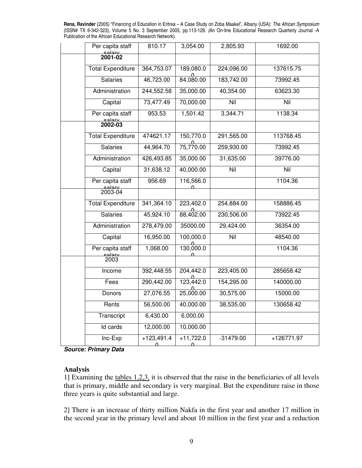| Per capita staff               | 810.17            | 3,054.00                          | 2,805.93    | 1692.00      |
|--------------------------------|-------------------|-----------------------------------|-------------|--------------|
| $\frac{\text{ealsy}}{2001-02}$ |                   |                                   |             |              |
| <b>Total Expenditure</b>       | 364,753.07        | 189,080.0                         | 224,096.00  | 137615.75    |
| <b>Salaries</b>                | 46,723.00         | $\frac{0}{84,080.00}$             | 183,742.00  | 73992.45     |
| Administration                 | 244,552.58        | 35,000.00                         | 40,354.00   | 63623.30     |
| Capital                        | 73,477.49         | 70,000.00                         | Nil         | Nil          |
| Per capita staff               | 953.53            | 1,501.42                          | 3,344.71    | 1138.34      |
| ــــروار<br>2002-03            |                   |                                   |             |              |
| <b>Total Expenditure</b>       | 474621.17         | 150,770.0                         | 291,565.00  | 113768.45    |
| <b>Salaries</b>                | 44,964.70         | $\frac{0}{75,770.00}$             | 259,930.00  | 73992.45     |
| Administration                 | 426,493.85        | 35,000.00                         | 31,635.00   | 39776.00     |
| Capital                        | 31,638.12         | 40,000.00                         | Nil         | Nil          |
| Per capita staff               | 956.69            | 116,566.0                         |             | 1104.36      |
| ے مواقع<br>2003-04             |                   |                                   |             |              |
| <b>Total Expenditure</b>       | 341,364.10        | 223,402.0                         | 254,884.00  | 158886.45    |
| <b>Salaries</b>                | 45,924.10         | 88,402.00                         | 230,506.00  | 73922.45     |
| Administration                 | 278,479.00        | 35000.00                          | 29,424.00   | 36354.00     |
| Capital                        | 16,950.00         | 100,000.0                         | Nil         | 48540.00     |
| Per capita staff               | 1,068.00          | $\frac{0}{130,000.0}$<br>$\Omega$ |             | 1104.36      |
| مواد<br>2003                   |                   |                                   |             |              |
| Income                         | 392,448.55        | 204,442.0                         | 223,405.00  | 285658.42    |
| Fees                           | 290,442.00        | $\frac{0}{123,442.0}$             | 154,295.00  | 140000.00    |
| Donors                         | 27,076.55         | $\frac{0}{25,000.00}$             | 30,575.00   | 15000.00     |
| Rents                          | 56,500.00         | 40,000.00                         | 38,535.00   | 130658.42    |
| Transcript                     | 6,430.00          | 6,000.00                          |             |              |
| Id cards                       | 12,000.00         | 10,000.00                         |             |              |
| Inc-Exp                        | $+123,491.4$<br>≏ | $+11,722.0$<br>≏                  | $-31479.00$ | $+126771.97$ |
|                                |                   |                                   |             |              |

*Source: Primary Data* 

## **Analysis**

1] Examining the tables 1,2,3, it is observed that the raise in the beneficiaries of all levels that is primary, middle and secondary is very marginal. But the expenditure raise in those three years is quite substantial and large.

2] There is an increase of thirty million Nakfa in the first year and another 17 million in the second year in the primary level and about 10 million in the first year and a reduction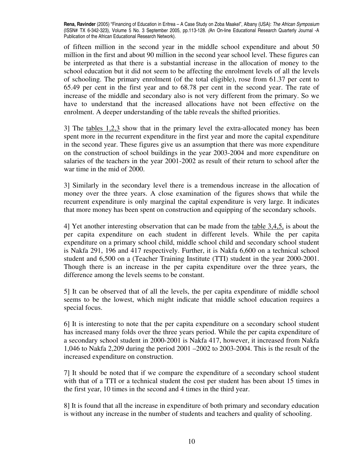of fifteen million in the second year in the middle school expenditure and about 50 million in the first and about 90 million in the second year school level. These figures can be interpreted as that there is a substantial increase in the allocation of money to the school education but it did not seem to be affecting the enrolment levels of all the levels of schooling. The primary enrolment (of the total eligible), rose from 61.37 per cent to 65.49 per cent in the first year and to 68.78 per cent in the second year. The rate of increase of the middle and secondary also is not very different from the primary. So we have to understand that the increased allocations have not been effective on the enrolment. A deeper understanding of the table reveals the shifted priorities.

3] The tables 1,2,3 show that in the primary level the extra-allocated money has been spent more in the recurrent expenditure in the first year and more the capital expenditure in the second year. These figures give us an assumption that there was more expenditure on the construction of school buildings in the year 2003-2004 and more expenditure on salaries of the teachers in the year 2001-2002 as result of their return to school after the war time in the mid of 2000.

3] Similarly in the secondary level there is a tremendous increase in the allocation of money over the three years. A close examination of the figures shows that while the recurrent expenditure is only marginal the capital expenditure is very large. It indicates that more money has been spent on construction and equipping of the secondary schools.

4] Yet another interesting observation that can be made from the table 3,4,5, is about the per capita expenditure on each student in different levels. While the per capita expenditure on a primary school child, middle school child and secondary school student is Nakfa 291, 196 and 417 respectively. Further, it is Nakfa 6,600 on a technical school student and 6,500 on a (Teacher Training Institute (TTI) student in the year 2000-2001. Though there is an increase in the per capita expenditure over the three years, the difference among the levels seems to be constant.

5] It can be observed that of all the levels, the per capita expenditure of middle school seems to be the lowest, which might indicate that middle school education requires a special focus.

6] It is interesting to note that the per capita expenditure on a secondary school student has increased many folds over the three years period. While the per capita expenditure of a secondary school student in 2000-2001 is Nakfa 417, however, it increased from Nakfa 1,046 to Nakfa 2,209 during the period 2001 –2002 to 2003-2004. This is the result of the increased expenditure on construction.

7] It should be noted that if we compare the expenditure of a secondary school student with that of a TTI or a technical student the cost per student has been about 15 times in the first year, 10 times in the second and 4 times in the third year.

8] It is found that all the increase in expenditure of both primary and secondary education is without any increase in the number of students and teachers and quality of schooling.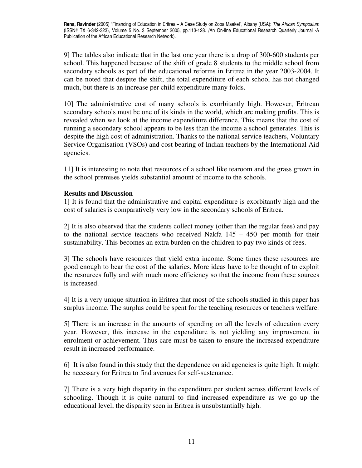9] The tables also indicate that in the last one year there is a drop of 300-600 students per school. This happened because of the shift of grade 8 students to the middle school from secondary schools as part of the educational reforms in Eritrea in the year 2003-2004. It can be noted that despite the shift, the total expenditure of each school has not changed much, but there is an increase per child expenditure many folds.

10] The administrative cost of many schools is exorbitantly high. However, Eritrean secondary schools must be one of its kinds in the world, which are making profits. This is revealed when we look at the income expenditure difference. This means that the cost of running a secondary school appears to be less than the income a school generates. This is despite the high cost of administration. Thanks to the national service teachers, Voluntary Service Organisation (VSOs) and cost bearing of Indian teachers by the International Aid agencies.

11] It is interesting to note that resources of a school like tearoom and the grass grown in the school premises yields substantial amount of income to the schools.

## **Results and Discussion**

1] It is found that the administrative and capital expenditure is exorbitantly high and the cost of salaries is comparatively very low in the secondary schools of Eritrea.

2] It is also observed that the students collect money (other than the regular fees) and pay to the national service teachers who received Nakfa  $145 - 450$  per month for their sustainability. This becomes an extra burden on the children to pay two kinds of fees.

3] The schools have resources that yield extra income. Some times these resources are good enough to bear the cost of the salaries. More ideas have to be thought of to exploit the resources fully and with much more efficiency so that the income from these sources is increased.

4] It is a very unique situation in Eritrea that most of the schools studied in this paper has surplus income. The surplus could be spent for the teaching resources or teachers welfare.

5] There is an increase in the amounts of spending on all the levels of education every year. However, this increase in the expenditure is not yielding any improvement in enrolment or achievement. Thus care must be taken to ensure the increased expenditure result in increased performance.

6] It is also found in this study that the dependence on aid agencies is quite high. It might be necessary for Eritrea to find avenues for self-sustenance.

7] There is a very high disparity in the expenditure per student across different levels of schooling. Though it is quite natural to find increased expenditure as we go up the educational level, the disparity seen in Eritrea is unsubstantially high.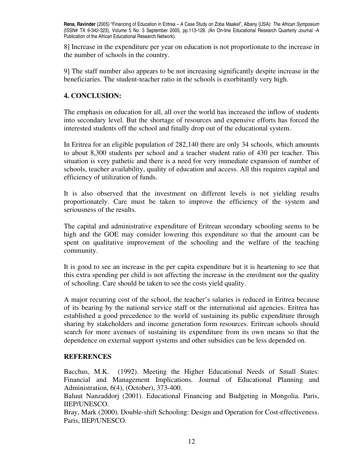8] Increase in the expenditure per year on education is not proportionate to the increase in the number of schools in the country.

9] The staff number also appears to be not increasing significantly despite increase in the beneficiaries. The student-teacher ratio in the schools is exorbitantly very high.

## **4. CONCLUSION:**

The emphasis on education for all, all over the world has increased the inflow of students into secondary level. But the shortage of resources and expensive efforts has forced the interested students off the school and finally drop out of the educational system.

In Eritrea for an eligible population of 282,140 there are only 34 schools, which amounts to about 8,300 students per school and a teacher student ratio of 430 per teacher. This situation is very pathetic and there is a need for very immediate expansion of number of schools, teacher availability, quality of education and access. All this requires capital and efficiency of utilization of funds.

It is also observed that the investment on different levels is not yielding results proportionately. Care must be taken to improve the efficiency of the system and seriousness of the results.

The capital and administrative expenditure of Eritrean secondary schooling seems to be high and the GOE may consider lowering this expenditure so that the amount can be spent on qualitative improvement of the schooling and the welfare of the teaching community.

It is good to see an increase in the per capita expenditure but it is heartening to see that this extra spending per child is not affecting the increase in the enrolment nor the quality of schooling. Care should be taken to see the costs yield quality.

A major recurring cost of the school, the teacher's salaries is reduced in Eritrea because of its bearing by the national service staff or the international aid agencies. Eritrea has established a good precedence to the world of sustaining its public expenditure through sharing by stakeholders and income generation form resources. Eritrean schools should search for more avenues of sustaining its expenditure from its own means so that the dependence on external support systems and other subsidies can be less depended on.

## **REFERENCES**

Bacchus, M.K. (1992). Meeting the Higher Educational Needs of Small States: Financial and Management Implications. Journal of Educational Planning and Administration, 6(4), (October), 373-400.

Baluut Nanzaddorj (2001). Educational Financing and Budgeting in Mongolia. Paris, IIEP/UNESCO.

Bray, Mark (2000). Double-shift Schooling: Design and Operation for Cost-effectiveness. Paris, IIEP/UNESCO.